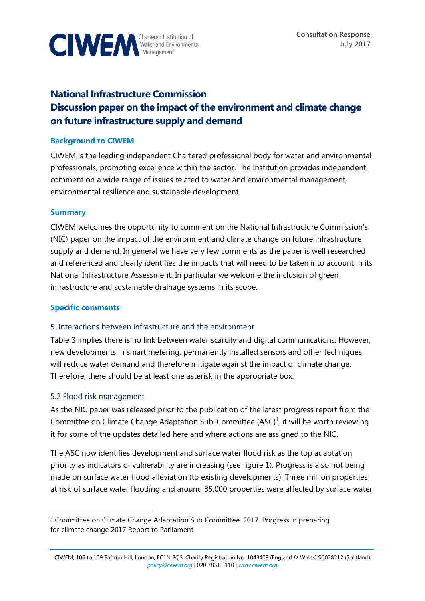

# **National Infrastructure Commission Discussion paper on the impact of the environment and climate change on future infrastructure supply and demand**

#### **Background to CIWEM**

CIWEM is the leading independent Chartered professional body for water and environmental professionals, promoting excellence within the sector. The Institution provides independent comment on a wide range of issues related to water and environmental management, environmental resilience and sustainable development.

## **Summary**

CIWEM welcomes the opportunity to comment on the National Infrastructure Commission's (NIC) paper on the impact of the environment and climate change on future infrastructure supply and demand. In general we have very few comments as the paper is well researched and referenced and clearly identifies the impacts that will need to be taken into account in its National Infrastructure Assessment. In particular we welcome the inclusion of green infrastructure and sustainable drainage systems in its scope.

#### **Specific comments**

#### 5. Interactions between infrastructure and the environment

Table 3 implies there is no link between water scarcity and digital communications. However, new developments in smart metering, permanently installed sensors and other techniques will reduce water demand and therefore mitigate against the impact of climate change. Therefore, there should be at least one asterisk in the appropriate box.

#### 5.2 Flood risk management

 $\overline{a}$ 

As the NIC paper was released prior to the publication of the latest progress report from the Committee on Climate Change Adaptation Sub-Committee  $(ASC)^1$ , it will be worth reviewing it for some of the updates detailed here and where actions are assigned to the NIC.

The ASC now identifies development and surface water flood risk as the top adaptation priority as indicators of vulnerability are increasing (see figure 1). Progress is also not being made on surface water flood alleviation (to existing developments). Three million properties at risk of surface water flooding and around 35,000 properties were affected by surface water

<sup>&</sup>lt;sup>1</sup> Committee on Climate Change Adaptation Sub Committee. 2017. Progress in preparing for climate change 2017 Report to Parliament

CIWEM, 106 to 109 Saffron Hill, London, EC1N 8QS. Charity Registration No. 1043409 (England & Wales) SC038212 (Scotland) *[policy@ciwem.org](mailto:policy@ciwem.org)* | 020 7831 3110 | *[www.ciwem.org](http://www.ciwem.org/)*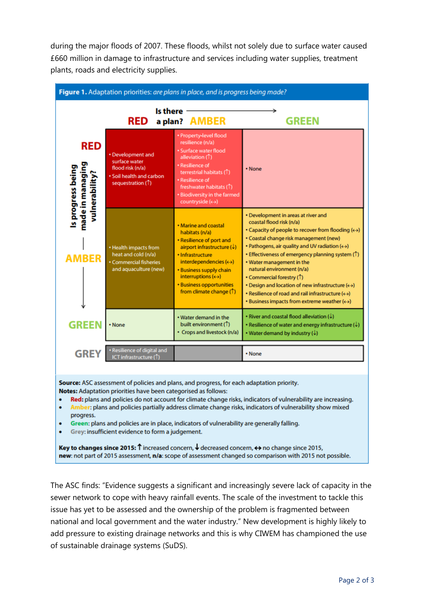during the major floods of 2007. These floods, whilst not solely due to surface water caused £660 million in damage to infrastructure and services including water supplies, treatment plants, roads and electricity supplies.

| Figure 1. Adaptation priorities: are plans in place, and is progress being made?                                                                                                                                                                                                                                                                                                                                                                                                                                                                                           |                                                                                                         |                                                                                                                                                                                                                                                                                            |                                                                                                                                                                                                                                                                                                                                                                                                                                                                                                                                                                                 |
|----------------------------------------------------------------------------------------------------------------------------------------------------------------------------------------------------------------------------------------------------------------------------------------------------------------------------------------------------------------------------------------------------------------------------------------------------------------------------------------------------------------------------------------------------------------------------|---------------------------------------------------------------------------------------------------------|--------------------------------------------------------------------------------------------------------------------------------------------------------------------------------------------------------------------------------------------------------------------------------------------|---------------------------------------------------------------------------------------------------------------------------------------------------------------------------------------------------------------------------------------------------------------------------------------------------------------------------------------------------------------------------------------------------------------------------------------------------------------------------------------------------------------------------------------------------------------------------------|
| Is there<br><b>RED</b><br>a plan? AMBER                                                                                                                                                                                                                                                                                                                                                                                                                                                                                                                                    |                                                                                                         |                                                                                                                                                                                                                                                                                            | <b>GREEN</b>                                                                                                                                                                                                                                                                                                                                                                                                                                                                                                                                                                    |
| <b>RED</b><br>ls progress being<br>made in managing<br>vulnerability?                                                                                                                                                                                                                                                                                                                                                                                                                                                                                                      | · Development and<br>surface water<br>flood risk (n/a)<br>. Soil health and carbon<br>sequestration (T) | * Property-level flood<br>resilience (n/a)<br>* Surface water flood<br>alleviation (T)<br>• Resilience of<br>terrestrial habitats (1)<br>· Resilience of<br>freshwater habitats (T)<br>. Biodiversity in the farmed<br>countryside $(\leftrightarrow)$                                     | • None                                                                                                                                                                                                                                                                                                                                                                                                                                                                                                                                                                          |
| <b>AMBER</b>                                                                                                                                                                                                                                                                                                                                                                                                                                                                                                                                                               | • Health impacts from<br>heat and cold (n/a)<br><b>• Commercial fisheries</b><br>and aquaculture (new)  | . Marine and coastal<br>habitats (n/a)<br>. Resilience of port and<br>airport infrastructure (↓)<br>· Infrastructure<br>$interdependent ( \leftrightarrow )$<br>· Business supply chain<br>$interruptions (\leftrightarrow)$<br><b>• Business opportunities</b><br>from climate change (1) | • Development in areas at river and<br>coastal flood risk (n/a)<br>• Capacity of people to recover from flooding (++)<br>• Coastal change risk management (new)<br>• Pathogens, air quality and UV radiation $(\leftrightarrow)$<br>• Effectiveness of emergency planning system (1)<br>. Water management in the<br>natural environment (n/a)<br>• Commercial forestry (1)<br>• Design and location of new infrastructure (←)<br>$\bullet$ Resilience of road and rail infrastructure $(\leftrightarrow)$<br>$\cdot$ Business impacts from extreme weather $\leftrightarrow$ ) |
| <b>GREEN</b>                                                                                                                                                                                                                                                                                                                                                                                                                                                                                                                                                               | • None                                                                                                  | . Water demand in the<br>built environment (1)<br>· Crops and livestock (n/a)                                                                                                                                                                                                              | • River and coastal flood alleviation (↓)<br>• Resilience of water and energy infrastructure $(\downarrow)$<br>• Water demand by industry $(\downarrow)$                                                                                                                                                                                                                                                                                                                                                                                                                        |
| <b>GREY</b>                                                                                                                                                                                                                                                                                                                                                                                                                                                                                                                                                                | · Resilience of digital and<br>ICT infrastructure (1)                                                   |                                                                                                                                                                                                                                                                                            | • None                                                                                                                                                                                                                                                                                                                                                                                                                                                                                                                                                                          |
| Source: ASC assessment of policies and plans, and progress, for each adaptation priority.<br>Notes: Adaptation priorities have been categorised as follows:<br>Red: plans and policies do not account for climate change risks, indicators of vulnerability are increasing.<br>٠<br>Amber: plans and policies partially address climate change risks, indicators of vulnerability show mixed<br>٠<br>progress.<br>Green: plans and policies are in place, indicators of vulnerability are generally falling.<br>٠<br>Grey: insufficient evidence to form a judgement.<br>٠ |                                                                                                         |                                                                                                                                                                                                                                                                                            |                                                                                                                                                                                                                                                                                                                                                                                                                                                                                                                                                                                 |

Key to changes since 2015: ↑ increased concern, ↓ decreased concern, ↔ no change since 2015, new: not part of 2015 assessment, n/a: scope of assessment changed so comparison with 2015 not possible.

The ASC finds: "Evidence suggests a significant and increasingly severe lack of capacity in the sewer network to cope with heavy rainfall events. The scale of the investment to tackle this issue has yet to be assessed and the ownership of the problem is fragmented between national and local government and the water industry." New development is highly likely to add pressure to existing drainage networks and this is why CIWEM has championed the use of sustainable drainage systems (SuDS).